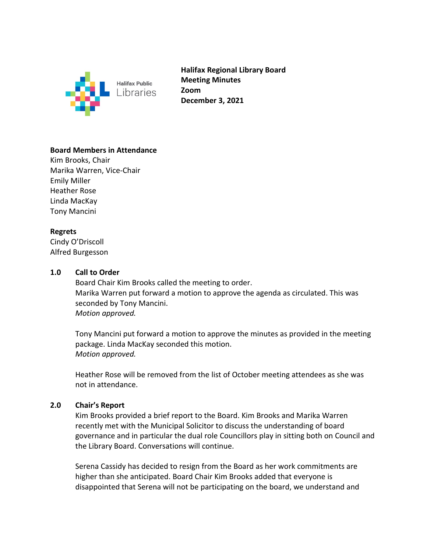

**Halifax Regional Library Board Meeting Minutes Zoom December 3, 2021**

# **Board Members in Attendance**

Kim Brooks, Chair Marika Warren, Vice-Chair Emily Miller Heather Rose Linda MacKay Tony Mancini

# **Regrets**

Cindy O'Driscoll Alfred Burgesson

## **1.0 Call to Order**

Board Chair Kim Brooks called the meeting to order. Marika Warren put forward a motion to approve the agenda as circulated. This was seconded by Tony Mancini. *Motion approved.* 

Tony Mancini put forward a motion to approve the minutes as provided in the meeting package. Linda MacKay seconded this motion. *Motion approved.* 

Heather Rose will be removed from the list of October meeting attendees as she was not in attendance.

## **2.0 Chair's Report**

Kim Brooks provided a brief report to the Board. Kim Brooks and Marika Warren recently met with the Municipal Solicitor to discuss the understanding of board governance and in particular the dual role Councillors play in sitting both on Council and the Library Board. Conversations will continue.

Serena Cassidy has decided to resign from the Board as her work commitments are higher than she anticipated. Board Chair Kim Brooks added that everyone is disappointed that Serena will not be participating on the board, we understand and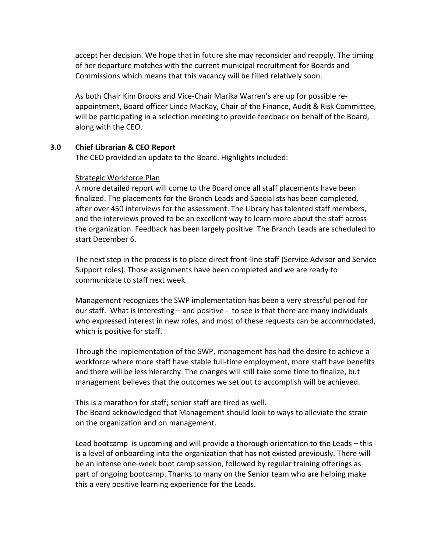accept her decision. We hope that in future she may reconsider and reapply. The timing of her departure matches with the current municipal recruitment for Boards and Commissions which means that this vacancy will be filled relatively soon.

As both Chair Kim Brooks and Vice-Chair Marika Warren's are up for possible reappointment, Board officer Linda MacKay, Chair of the Finance, Audit & Risk Committee, will be participating in a selection meeting to provide feedback on behalf of the Board, along with the CEO.

## **3.0 Chief Librarian & CEO Report**

The CEO provided an update to the Board. Highlights included:

#### Strategic Workforce Plan

A more detailed report will come to the Board once all staff placements have been finalized. The placements for the Branch Leads and Specialists has been completed, after over 450 interviews for the assessment. The Library has talented staff members, and the interviews proved to be an excellent way to learn more about the staff across the organization. Feedback has been largely positive. The Branch Leads are scheduled to start December 6.

The next step in the process is to place direct front-line staff (Service Advisor and Service Support roles). Those assignments have been completed and we are ready to communicate to staff next week.

Management recognizes the SWP implementation has been a very stressful period for our staff. What is interesting – and positive - to see is that there are many individuals who expressed interest in new roles, and most of these requests can be accommodated, which is positive for staff.

Through the implementation of the SWP, management has had the desire to achieve a workforce where more staff have stable full-time employment, more staff have benefits and there will be less hierarchy. The changes will still take some time to finalize, but management believes that the outcomes we set out to accomplish will be achieved.

This is a marathon for staff; senior staff are tired as well. The Board acknowledged that Management should look to ways to alleviate the strain on the organization and on management.

Lead bootcamp is upcoming and will provide a thorough orientation to the Leads – this is a level of onboarding into the organization that has not existed previously. There will be an intense one-week boot camp session, followed by regular training offerings as part of ongoing bootcamp. Thanks to many on the Senior team who are helping make this a very positive learning experience for the Leads.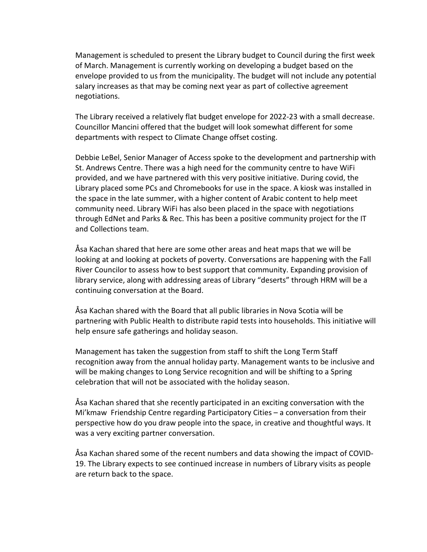Management is scheduled to present the Library budget to Council during the first week of March. Management is currently working on developing a budget based on the envelope provided to us from the municipality. The budget will not include any potential salary increases as that may be coming next year as part of collective agreement negotiations.

The Library received a relatively flat budget envelope for 2022-23 with a small decrease. Councillor Mancini offered that the budget will look somewhat different for some departments with respect to Climate Change offset costing.

Debbie LeBel, Senior Manager of Access spoke to the development and partnership with St. Andrews Centre. There was a high need for the community centre to have WiFi provided, and we have partnered with this very positive initiative. During covid, the Library placed some PCs and Chromebooks for use in the space. A kiosk was installed in the space in the late summer, with a higher content of Arabic content to help meet community need. Library WiFi has also been placed in the space with negotiations through EdNet and Parks & Rec. This has been a positive community project for the IT and Collections team.

Åsa Kachan shared that here are some other areas and heat maps that we will be looking at and looking at pockets of poverty. Conversations are happening with the Fall River Councilor to assess how to best support that community. Expanding provision of library service, along with addressing areas of Library "deserts" through HRM will be a continuing conversation at the Board.

Åsa Kachan shared with the Board that all public libraries in Nova Scotia will be partnering with Public Health to distribute rapid tests into households. This initiative will help ensure safe gatherings and holiday season.

Management has taken the suggestion from staff to shift the Long Term Staff recognition away from the annual holiday party. Management wants to be inclusive and will be making changes to Long Service recognition and will be shifting to a Spring celebration that will not be associated with the holiday season.

Åsa Kachan shared that she recently participated in an exciting conversation with the Mi'kmaw Friendship Centre regarding Participatory Cities – a conversation from their perspective how do you draw people into the space, in creative and thoughtful ways. It was a very exciting partner conversation.

Åsa Kachan shared some of the recent numbers and data showing the impact of COVID-19. The Library expects to see continued increase in numbers of Library visits as people are return back to the space.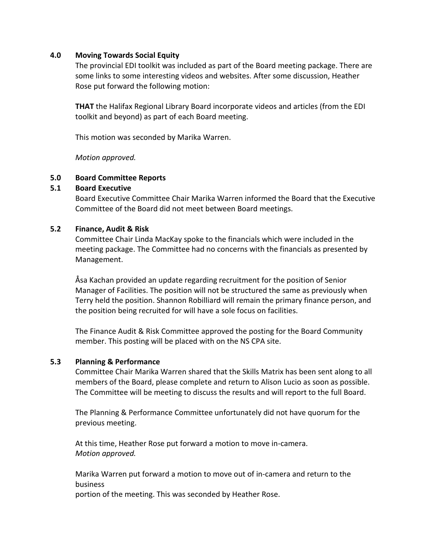#### **4.0 Moving Towards Social Equity**

The provincial EDI toolkit was included as part of the Board meeting package. There are some links to some interesting videos and websites. After some discussion, Heather Rose put forward the following motion:

**THAT** the Halifax Regional Library Board incorporate videos and articles (from the EDI toolkit and beyond) as part of each Board meeting.

This motion was seconded by Marika Warren.

*Motion approved.* 

#### **5.0 Board Committee Reports**

#### **5.1 Board Executive**

Board Executive Committee Chair Marika Warren informed the Board that the Executive Committee of the Board did not meet between Board meetings.

#### **5.2 Finance, Audit & Risk**

Committee Chair Linda MacKay spoke to the financials which were included in the meeting package. The Committee had no concerns with the financials as presented by Management.

Åsa Kachan provided an update regarding recruitment for the position of Senior Manager of Facilities. The position will not be structured the same as previously when Terry held the position. Shannon Robilliard will remain the primary finance person, and the position being recruited for will have a sole focus on facilities.

The Finance Audit & Risk Committee approved the posting for the Board Community member. This posting will be placed with on the NS CPA site.

## **5.3 Planning & Performance**

Committee Chair Marika Warren shared that the Skills Matrix has been sent along to all members of the Board, please complete and return to Alison Lucio as soon as possible. The Committee will be meeting to discuss the results and will report to the full Board.

The Planning & Performance Committee unfortunately did not have quorum for the previous meeting.

At this time, Heather Rose put forward a motion to move in-camera. *Motion approved.* 

Marika Warren put forward a motion to move out of in-camera and return to the business

portion of the meeting. This was seconded by Heather Rose.